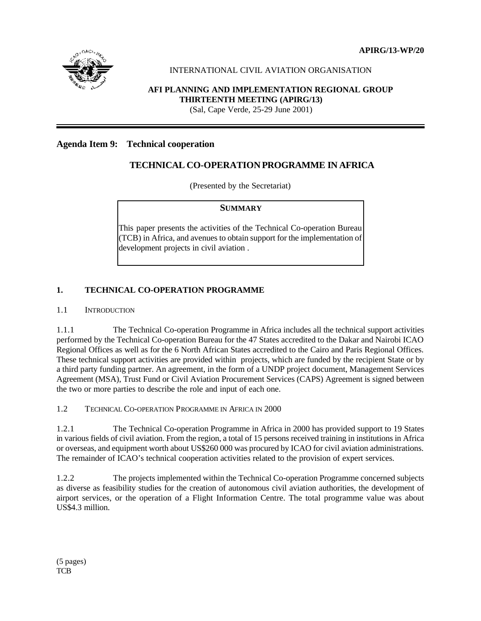**APIRG/13-WP/20**



# INTERNATIONAL CIVIL AVIATION ORGANISATION

# **AFI PLANNING AND IMPLEMENTATION REGIONAL GROUP THIRTEENTH MEETING (APIRG/13)**

(Sal, Cape Verde, 25-29 June 2001)

#### **Agenda Item 9: Technical cooperation**

# **TECHNICAL CO-OPERATION PROGRAMME IN AFRICA**

(Presented by the Secretariat)

#### **SUMMARY**

This paper presents the activities of the Technical Co-operation Bureau (TCB) in Africa, and avenues to obtain support for the implementation of development projects in civil aviation .

#### **1. TECHNICAL CO-OPERATION PROGRAMME**

#### 1.1 INTRODUCTION

1.1.1 The Technical Co-operation Programme in Africa includes all the technical support activities performed by the Technical Co-operation Bureau for the 47 States accredited to the Dakar and Nairobi ICAO Regional Offices as well as for the 6 North African States accredited to the Cairo and Paris Regional Offices. These technical support activities are provided within projects, which are funded by the recipient State or by a third party funding partner. An agreement, in the form of a UNDP project document, Management Services Agreement (MSA), Trust Fund or Civil Aviation Procurement Services (CAPS) Agreement is signed between the two or more parties to describe the role and input of each one.

1.2 TECHNICAL CO-OPERATION PROGRAMME IN AFRICA IN 2000

1.2.1 The Technical Co-operation Programme in Africa in 2000 has provided support to 19 States in various fields of civil aviation. From the region, a total of 15 persons received training in institutions in Africa or overseas, and equipment worth about US\$260 000 was procured by ICAO for civil aviation administrations. The remainder of ICAO's technical cooperation activities related to the provision of expert services.

1.2.2 The projects implemented within the Technical Co-operation Programme concerned subjects as diverse as feasibility studies for the creation of autonomous civil aviation authorities, the development of airport services, or the operation of a Flight Information Centre. The total programme value was about US\$4.3 million.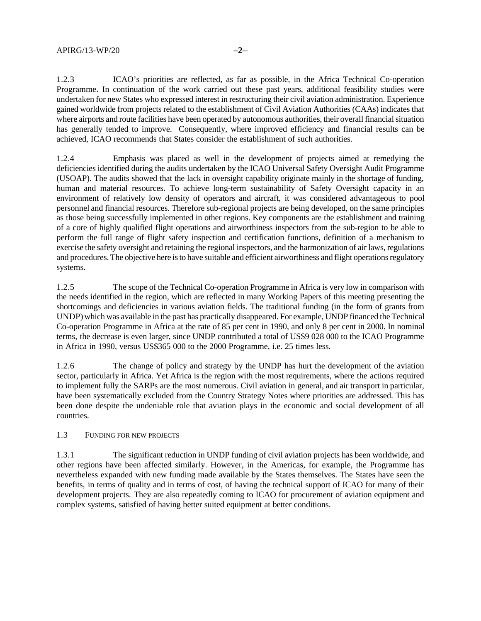1.2.3 ICAO's priorities are reflected, as far as possible, in the Africa Technical Co-operation Programme. In continuation of the work carried out these past years, additional feasibility studies were undertaken for new States who expressed interest in restructuring their civil aviation administration. Experience gained worldwide from projects related to the establishment of Civil Aviation Authorities (CAAs) indicates that where airports and route facilities have been operated by autonomous authorities, their overall financial situation has generally tended to improve. Consequently, where improved efficiency and financial results can be achieved, ICAO recommends that States consider the establishment of such authorities.

1.2.4 Emphasis was placed as well in the development of projects aimed at remedying the deficiencies identified during the audits undertaken by the ICAO Universal Safety Oversight Audit Programme (USOAP). The audits showed that the lack in oversight capability originate mainly in the shortage of funding, human and material resources. To achieve long-term sustainability of Safety Oversight capacity in an environment of relatively low density of operators and aircraft, it was considered advantageous to pool personnel and financial resources. Therefore sub-regional projects are being developed, on the same principles as those being successfully implemented in other regions. Key components are the establishment and training of a core of highly qualified flight operations and airworthiness inspectors from the sub-region to be able to perform the full range of flight safety inspection and certification functions, definition of a mechanism to exercise the safety oversight and retaining the regional inspectors, and the harmonization of air laws, regulations and procedures. The objective here is to have suitable and efficient airworthiness and flight operations regulatory systems.

1.2.5 The scope of the Technical Co-operation Programme in Africa is very low in comparison with the needs identified in the region, which are reflected in many Working Papers of this meeting presenting the shortcomings and deficiencies in various aviation fields. The traditional funding (in the form of grants from UNDP) which was available in the past has practically disappeared. For example, UNDP financed the Technical Co-operation Programme in Africa at the rate of 85 per cent in 1990, and only 8 per cent in 2000. In nominal terms, the decrease is even larger, since UNDP contributed a total of US\$9 028 000 to the ICAO Programme in Africa in 1990, versus US\$365 000 to the 2000 Programme, i.e. 25 times less.

1.2.6 The change of policy and strategy by the UNDP has hurt the development of the aviation sector, particularly in Africa. Yet Africa is the region with the most requirements, where the actions required to implement fully the SARPs are the most numerous. Civil aviation in general, and air transport in particular, have been systematically excluded from the Country Strategy Notes where priorities are addressed. This has been done despite the undeniable role that aviation plays in the economic and social development of all countries.

#### 1.3 FUNDING FOR NEW PROJECTS

1.3.1 The significant reduction in UNDP funding of civil aviation projects has been worldwide, and other regions have been affected similarly. However, in the Americas, for example, the Programme has nevertheless expanded with new funding made available by the States themselves. The States have seen the benefits, in terms of quality and in terms of cost, of having the technical support of ICAO for many of their development projects. They are also repeatedly coming to ICAO for procurement of aviation equipment and complex systems, satisfied of having better suited equipment at better conditions.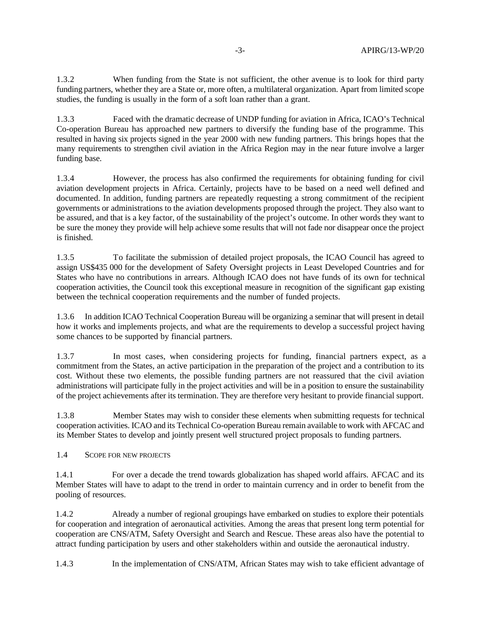1.3.2 When funding from the State is not sufficient, the other avenue is to look for third party funding partners, whether they are a State or, more often, a multilateral organization. Apart from limited scope studies, the funding is usually in the form of a soft loan rather than a grant.

1.3.3 Faced with the dramatic decrease of UNDP funding for aviation in Africa, ICAO's Technical Co-operation Bureau has approached new partners to diversify the funding base of the programme. This resulted in having six projects signed in the year 2000 with new funding partners. This brings hopes that the many requirements to strengthen civil aviation in the Africa Region may in the near future involve a larger funding base.

1.3.4 However, the process has also confirmed the requirements for obtaining funding for civil aviation development projects in Africa. Certainly, projects have to be based on a need well defined and documented. In addition, funding partners are repeatedly requesting a strong commitment of the recipient governments or administrations to the aviation developments proposed through the project. They also want to be assured, and that is a key factor, of the sustainability of the project's outcome. In other words they want to be sure the money they provide will help achieve some results that will not fade nor disappear once the project is finished.

1.3.5 To facilitate the submission of detailed project proposals, the ICAO Council has agreed to assign US\$435 000 for the development of Safety Oversight projects in Least Developed Countries and for States who have no contributions in arrears. Although ICAO does not have funds of its own for technical cooperation activities, the Council took this exceptional measure in recognition of the significant gap existing between the technical cooperation requirements and the number of funded projects.

1.3.6 In addition ICAO Technical Cooperation Bureau will be organizing a seminar that will present in detail how it works and implements projects, and what are the requirements to develop a successful project having some chances to be supported by financial partners.

1.3.7 In most cases, when considering projects for funding, financial partners expect, as a commitment from the States, an active participation in the preparation of the project and a contribution to its cost. Without these two elements, the possible funding partners are not reassured that the civil aviation administrations will participate fully in the project activities and will be in a position to ensure the sustainability of the project achievements after its termination. They are therefore very hesitant to provide financial support.

1.3.8 Member States may wish to consider these elements when submitting requests for technical cooperation activities. ICAO and its Technical Co-operation Bureau remain available to work with AFCAC and its Member States to develop and jointly present well structured project proposals to funding partners.

1.4 SCOPE FOR NEW PROJECTS

1.4.1 For over a decade the trend towards globalization has shaped world affairs. AFCAC and its Member States will have to adapt to the trend in order to maintain currency and in order to benefit from the pooling of resources.

1.4.2 Already a number of regional groupings have embarked on studies to explore their potentials for cooperation and integration of aeronautical activities. Among the areas that present long term potential for cooperation are CNS/ATM, Safety Oversight and Search and Rescue. These areas also have the potential to attract funding participation by users and other stakeholders within and outside the aeronautical industry.

1.4.3 In the implementation of CNS/ATM, African States may wish to take efficient advantage of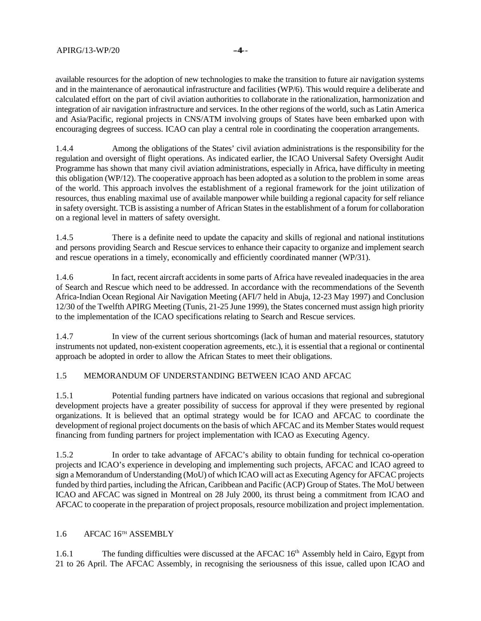available resources for the adoption of new technologies to make the transition to future air navigation systems and in the maintenance of aeronautical infrastructure and facilities (WP/6). This would require a deliberate and calculated effort on the part of civil aviation authorities to collaborate in the rationalization, harmonization and integration of air navigation infrastructure and services. In the other regions of the world, such as Latin America and Asia/Pacific, regional projects in CNS/ATM involving groups of States have been embarked upon with encouraging degrees of success. ICAO can play a central role in coordinating the cooperation arrangements.

1.4.4 Among the obligations of the States' civil aviation administrations is the responsibility for the regulation and oversight of flight operations. As indicated earlier, the ICAO Universal Safety Oversight Audit Programme has shown that many civil aviation administrations, especially in Africa, have difficulty in meeting this obligation (WP/12). The cooperative approach has been adopted as a solution to the problem in some areas of the world. This approach involves the establishment of a regional framework for the joint utilization of resources, thus enabling maximal use of available manpower while building a regional capacity for self reliance in safety oversight. TCB is assisting a number of African States in the establishment of a forum for collaboration on a regional level in matters of safety oversight.

1.4.5 There is a definite need to update the capacity and skills of regional and national institutions and persons providing Search and Rescue services to enhance their capacity to organize and implement search and rescue operations in a timely, economically and efficiently coordinated manner (WP/31).

1.4.6 In fact, recent aircraft accidents in some parts of Africa have revealed inadequacies in the area of Search and Rescue which need to be addressed. In accordance with the recommendations of the Seventh Africa-Indian Ocean Regional Air Navigation Meeting (AFI/7 held in Abuja, 12-23 May 1997) and Conclusion 12/30 of the Twelfth APIRG Meeting (Tunis, 21-25 June 1999), the States concerned must assign high priority to the implementation of the ICAO specifications relating to Search and Rescue services.

1.4.7 In view of the current serious shortcomings (lack of human and material resources, statutory instruments not updated, non-existent cooperation agreements, etc.), it is essential that a regional or continental approach be adopted in order to allow the African States to meet their obligations.

# 1.5 MEMORANDUM OF UNDERSTANDING BETWEEN ICAO AND AFCAC

1.5.1 Potential funding partners have indicated on various occasions that regional and subregional development projects have a greater possibility of success for approval if they were presented by regional organizations. It is believed that an optimal strategy would be for ICAO and AFCAC to coordinate the development of regional project documents on the basis of which AFCAC and its Member States would request financing from funding partners for project implementation with ICAO as Executing Agency.

1.5.2 In order to take advantage of AFCAC's ability to obtain funding for technical co-operation projects and ICAO's experience in developing and implementing such projects, AFCAC and ICAO agreed to sign a Memorandum of Understanding (MoU) of which ICAO will act as Executing Agency for AFCAC projects funded by third parties, including the African, Caribbean and Pacific (ACP) Group of States. The MoU between ICAO and AFCAC was signed in Montreal on 28 July 2000, its thrust being a commitment from ICAO and AFCAC to cooperate in the preparation of project proposals, resource mobilization and project implementation.

# 1.6 AFCAC 16TH ASSEMBLY

1.6.1 The funding difficulties were discussed at the AFCAC 16<sup>th</sup> Assembly held in Cairo, Egypt from 21 to 26 April. The AFCAC Assembly, in recognising the seriousness of this issue, called upon ICAO and